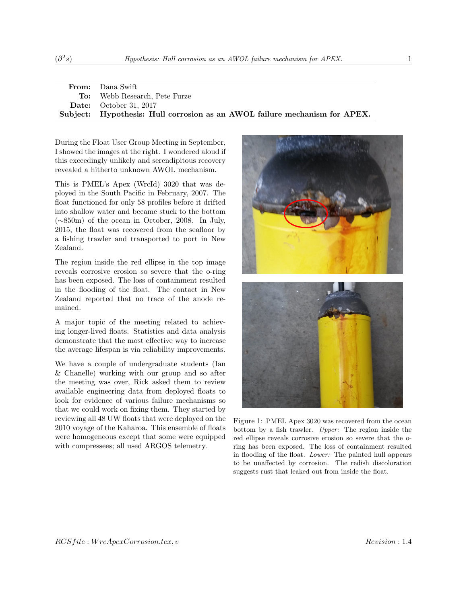| <b>From:</b> Dana Swift                                                    |  |  |  |  |  |  |  |
|----------------------------------------------------------------------------|--|--|--|--|--|--|--|
| <b>To:</b> Webb Research, Pete Furze                                       |  |  |  |  |  |  |  |
| <b>Date:</b> October 31, 2017                                              |  |  |  |  |  |  |  |
| Subject: Hypothesis: Hull corrosion as an AWOL failure mechanism for APEX. |  |  |  |  |  |  |  |

During the Float User Group Meeting in September, I showed the images at the right. I wondered aloud if this exceedingly unlikely and serendipitous recovery revealed a hitherto unknown AWOL mechanism.

This is PMEL's Apex (WrcId) 3020 that was deployed in the South Pacific in February, 2007. The float functioned for only 58 profiles before it drifted into shallow water and became stuck to the bottom (∼850m) of the ocean in October, 2008. In July, 2015, the float was recovered from the seafloor by a fishing trawler and transported to port in New Zealand.

The region inside the red ellipse in the top image reveals corrosive erosion so severe that the o-ring has been exposed. The loss of containment resulted in the flooding of the float. The contact in New Zealand reported that no trace of the anode remained.

A major topic of the meeting related to achieving longer-lived floats. Statistics and data analysis demonstrate that the most effective way to increase the average lifespan is via reliability improvements.

We have a couple of undergraduate students (Ian & Chanelle) working with our group and so after the meeting was over, Rick asked them to review available engineering data from deployed floats to look for evidence of various failure mechanisms so that we could work on fixing them. They started by reviewing all 48 UW floats that were deployed on the 2010 voyage of the Kaharoa. This ensemble of floats were homogeneous except that some were equipped with compressees; all used ARGOS telemetry.



Figure 1: PMEL Apex 3020 was recovered from the ocean bottom by a fish trawler. Upper: The region inside the red ellipse reveals corrosive erosion so severe that the oring has been exposed. The loss of containment resulted in flooding of the float. Lower: The painted hull appears to be unaffected by corrosion. The redish discoloration suggests rust that leaked out from inside the float.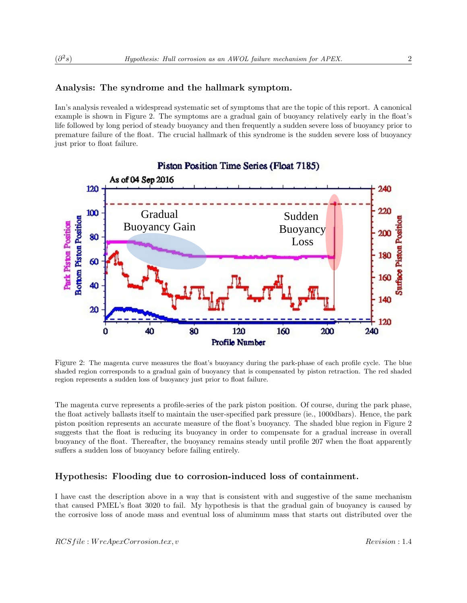# Analysis: The syndrome and the hallmark symptom.

Ian's analysis revealed a widespread systematic set of symptoms that are the topic of this report. A canonical example is shown in Figure 2. The symptoms are a gradual gain of buoyancy relatively early in the float's life followed by long period of steady buoyancy and then frequently a sudden severe loss of buoyancy prior to premature failure of the float. The crucial hallmark of this syndrome is the sudden severe loss of buoyancy just prior to float failure.



Figure 2: The magenta curve measures the float's buoyancy during the park-phase of each profile cycle. The blue shaded region corresponds to a gradual gain of buoyancy that is compensated by piston retraction. The red shaded region represents a sudden loss of buoyancy just prior to float failure.

The magenta curve represents a profile-series of the park piston position. Of course, during the park phase, the float actively ballasts itself to maintain the user-specified park pressure (ie., 1000dbars). Hence, the park piston position represents an accurate measure of the float's buoyancy. The shaded blue region in Figure 2 suggests that the float is reducing its buoyancy in order to compensate for a gradual increase in overall buoyancy of the float. Thereafter, the buoyancy remains steady until profile 207 when the float apparently suffers a sudden loss of buoyancy before failing entirely.

## Hypothesis: Flooding due to corrosion-induced loss of containment.

I have cast the description above in a way that is consistent with and suggestive of the same mechanism that caused PMEL's float 3020 to fail. My hypothesis is that the gradual gain of buoyancy is caused by the corrosive loss of anode mass and eventual loss of aluminum mass that starts out distributed over the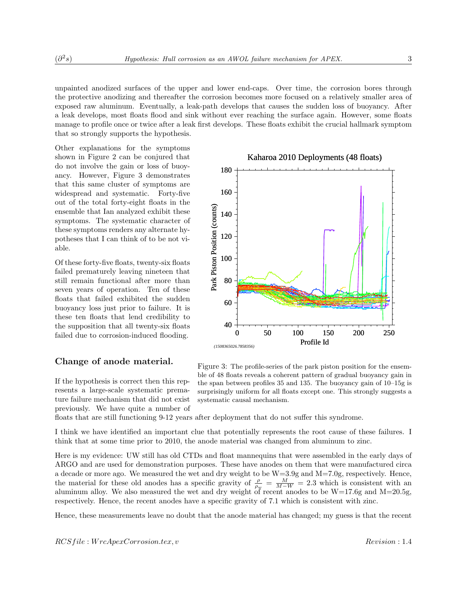unpainted anodized surfaces of the upper and lower end-caps. Over time, the corrosion bores through the protective anodizing and thereafter the corrosion becomes more focused on a relatively smaller area of exposed raw aluminum. Eventually, a leak-path develops that causes the sudden loss of buoyancy. After a leak develops, most floats flood and sink without ever reaching the surface again. However, some floats manage to profile once or twice after a leak first develops. These floats exhibit the crucial hallmark symptom that so strongly supports the hypothesis.

Other explanations for the symptoms shown in Figure 2 can be conjured that do not involve the gain or loss of buoyancy. However, Figure 3 demonstrates that this same cluster of symptoms are widespread and systematic. Forty-five out of the total forty-eight floats in the ensemble that Ian analyzed exhibit these symptoms. The systematic character of these symptoms renders any alternate hypotheses that I can think of to be not viable.

Of these forty-five floats, twenty-six floats failed prematurely leaving nineteen that still remain functional after more than seven years of operation. Ten of these floats that failed exhibited the sudden buoyancy loss just prior to failure. It is these ten floats that lend credibility to the supposition that all twenty-six floats failed due to corrosion-induced flooding.

## Change of anode material.

If the hypothesis is correct then this represents a large-scale systematic premature failure mechanism that did not exist previously. We have quite a number of



floats that are still functioning 9-12 years after deployment that do not suffer this syndrome.

I think we have identified an important clue that potentially represents the root cause of these failures. I think that at some time prior to 2010, the anode material was changed from aluminum to zinc.

Here is my evidence: UW still has old CTDs and float mannequins that were assembled in the early days of ARGO and are used for demonstration purposes. These have anodes on them that were manufactured circa a decade or more ago. We measured the wet and dry weight to be  $W=3.9g$  and  $M=7.0g$ , respectively. Hence, the material for these old anodes has a specific gravity of  $\frac{\rho}{\rho_w} = \frac{M}{M-W} = 2.3$  which is consistent with an aluminum alloy. We also measured the wet and dry weight of recent anodes to be  $W=17.6g$  and  $M=20.5g$ , respectively. Hence, the recent anodes have a specific gravity of 7.1 which is consistent with zinc.

Hence, these measurements leave no doubt that the anode material has changed; my guess is that the recent

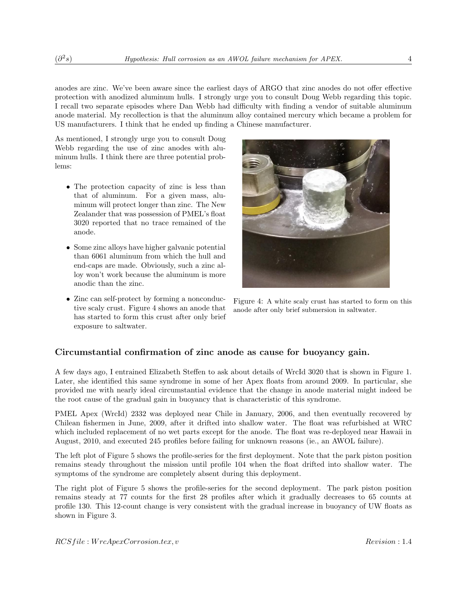anodes are zinc. We've been aware since the earliest days of ARGO that zinc anodes do not offer effective protection with anodized aluminum hulls. I strongly urge you to consult Doug Webb regarding this topic. I recall two separate episodes where Dan Webb had difficulty with finding a vendor of suitable aluminum anode material. My recollection is that the aluminum alloy contained mercury which became a problem for US manufacturers. I think that he ended up finding a Chinese manufacturer.

As mentioned, I strongly urge you to consult Doug Webb regarding the use of zinc anodes with aluminum hulls. I think there are three potential problems:

- The protection capacity of zinc is less than that of aluminum. For a given mass, aluminum will protect longer than zinc. The New Zealander that was possession of PMEL's float 3020 reported that no trace remained of the anode.
- Some zinc alloys have higher galvanic potential than 6061 aluminum from which the hull and end-caps are made. Obviously, such a zinc alloy won't work because the aluminum is more anodic than the zinc.
- Zinc can self-protect by forming a nonconductive scaly crust. Figure 4 shows an anode that has started to form this crust after only brief exposure to saltwater.



Figure 4: A white scaly crust has started to form on this anode after only brief submersion in saltwater.

# Circumstantial confirmation of zinc anode as cause for buoyancy gain.

A few days ago, I entrained Elizabeth Steffen to ask about details of WrcId 3020 that is shown in Figure 1. Later, she identified this same syndrome in some of her Apex floats from around 2009. In particular, she provided me with nearly ideal circumstantial evidence that the change in anode material might indeed be the root cause of the gradual gain in buoyancy that is characteristic of this syndrome.

PMEL Apex (WrcId) 2332 was deployed near Chile in January, 2006, and then eventually recovered by Chilean fishermen in June, 2009, after it drifted into shallow water. The float was refurbished at WRC which included replacement of no wet parts except for the anode. The float was re-deployed near Hawaii in August, 2010, and executed 245 profiles before failing for unknown reasons (ie., an AWOL failure).

The left plot of Figure 5 shows the profile-series for the first deployment. Note that the park piston position remains steady throughout the mission until profile 104 when the float drifted into shallow water. The symptoms of the syndrome are completely absent during this deployment.

The right plot of Figure 5 shows the profile-series for the second deployment. The park piston position remains steady at 77 counts for the first 28 profiles after which it gradually decreases to 65 counts at profile 130. This 12-count change is very consistent with the gradual increase in buoyancy of UW floats as shown in Figure 3.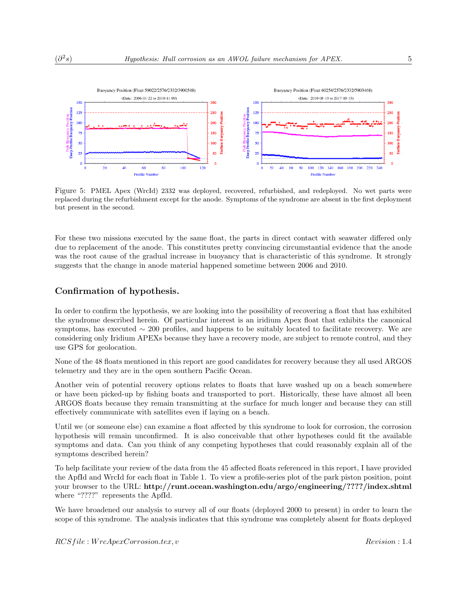

Figure 5: PMEL Apex (WrcId) 2332 was deployed, recovered, refurbished, and redeployed. No wet parts were replaced during the refurbishment except for the anode. Symptoms of the syndrome are absent in the first deployment but present in the second.

For these two missions executed by the same float, the parts in direct contact with seawater differed only due to replacement of the anode. This constitutes pretty convincing circumstantial evidence that the anode was the root cause of the gradual increase in buoyancy that is characteristic of this syndrome. It strongly suggests that the change in anode material happened sometime between 2006 and 2010.

## Confirmation of hypothesis.

In order to confirm the hypothesis, we are looking into the possibility of recovering a float that has exhibited the syndrome described herein. Of particular interest is an iridium Apex float that exhibits the canonical symptoms, has executed ∼ 200 profiles, and happens to be suitably located to facilitate recovery. We are considering only Iridium APEXs because they have a recovery mode, are subject to remote control, and they use GPS for geolocation.

None of the 48 floats mentioned in this report are good candidates for recovery because they all used ARGOS telemetry and they are in the open southern Pacific Ocean.

Another vein of potential recovery options relates to floats that have washed up on a beach somewhere or have been picked-up by fishing boats and transported to port. Historically, these have almost all been ARGOS floats because they remain transmitting at the surface for much longer and because they can still effectively communicate with satellites even if laying on a beach.

Until we (or someone else) can examine a float affected by this syndrome to look for corrosion, the corrosion hypothesis will remain unconfirmed. It is also conceivable that other hypotheses could fit the available symptoms and data. Can you think of any competing hypotheses that could reasonably explain all of the symptoms described herein?

To help facilitate your review of the data from the 45 affected floats referenced in this report, I have provided the ApfId and WrcId for each float in Table 1. To view a profile-series plot of the park piston position, point your browser to the URL: http://runt.ocean.washington.edu/argo/engineering/????/index.shtml where "????" represents the ApfId.

We have broadened our analysis to survey all of our floats (deployed 2000 to present) in order to learn the scope of this syndrome. The analysis indicates that this syndrome was completely absent for floats deployed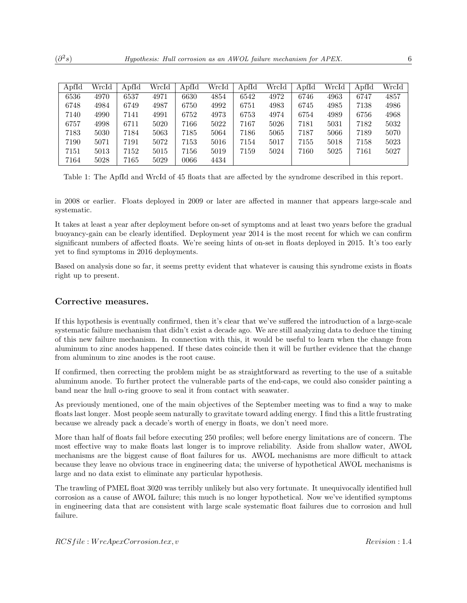| ApfId | WrcId | ApfId | WrcId | ApfId | WrcId | ApfId | WrcId | ApfId | WrcId | ApfId | WrcId |
|-------|-------|-------|-------|-------|-------|-------|-------|-------|-------|-------|-------|
| 6536  | 4970  | 6537  | 4971  | 6630  | 4854  | 6542  | 4972  | 6746  | 4963  | 6747  | 4857  |
| 6748  | 4984  | 6749  | 4987  | 6750  | 4992  | 6751  | 4983  | 6745  | 4985  | 7138  | 4986  |
| 7140  | 4990  | 7141  | 4991  | 6752  | 4973  | 6753  | 4974  | 6754  | 4989  | 6756  | 4968  |
| 6757  | 4998  | 6711  | 5020  | 7166  | 5022  | 7167  | 5026  | 7181  | 5031  | 7182  | 5032  |
| 7183  | 5030  | 7184  | 5063  | 7185  | 5064  | 7186  | 5065  | 7187  | 5066  | 7189  | 5070  |
| 7190  | 5071  | 7191  | 5072  | 7153  | 5016  | 7154  | 5017  | 7155  | 5018  | 7158  | 5023  |
| 7151  | 5013  | 7152  | 5015  | 7156  | 5019  | 7159  | 5024  | 7160  | 5025  | 7161  | 5027  |
| 7164  | 5028  | 7165  | 5029  | 0066  | 4434  |       |       |       |       |       |       |

Table 1: The ApfId and WrcId of 45 floats that are affected by the syndrome described in this report.

in 2008 or earlier. Floats deployed in 2009 or later are affected in manner that appears large-scale and systematic.

It takes at least a year after deployment before on-set of symptoms and at least two years before the gradual buoyancy-gain can be clearly identified. Deployment year 2014 is the most recent for which we can confirm significant numbers of affected floats. We're seeing hints of on-set in floats deployed in 2015. It's too early yet to find symptoms in 2016 deployments.

Based on analysis done so far, it seems pretty evident that whatever is causing this syndrome exists in floats right up to present.

#### Corrective measures.

If this hypothesis is eventually confirmed, then it's clear that we've suffered the introduction of a large-scale systematic failure mechanism that didn't exist a decade ago. We are still analyzing data to deduce the timing of this new failure mechanism. In connection with this, it would be useful to learn when the change from aluminum to zinc anodes happened. If these dates coincide then it will be further evidence that the change from aluminum to zinc anodes is the root cause.

If confirmed, then correcting the problem might be as straightforward as reverting to the use of a suitable aluminum anode. To further protect the vulnerable parts of the end-caps, we could also consider painting a band near the hull o-ring groove to seal it from contact with seawater.

As previously mentioned, one of the main objectives of the September meeting was to find a way to make floats last longer. Most people seem naturally to gravitate toward adding energy. I find this a little frustrating because we already pack a decade's worth of energy in floats, we don't need more.

More than half of floats fail before executing 250 profiles; well before energy limitations are of concern. The most effective way to make floats last longer is to improve reliability. Aside from shallow water, AWOL mechanisms are the biggest cause of float failures for us. AWOL mechanisms are more difficult to attack because they leave no obvious trace in engineering data; the universe of hypothetical AWOL mechanisms is large and no data exist to eliminate any particular hypothesis.

The trawling of PMEL float 3020 was terribly unlikely but also very fortunate. It unequivocally identified hull corrosion as a cause of AWOL failure; this much is no longer hypothetical. Now we've identified symptoms in engineering data that are consistent with large scale systematic float failures due to corrosion and hull failure.

 $(\partial^2$